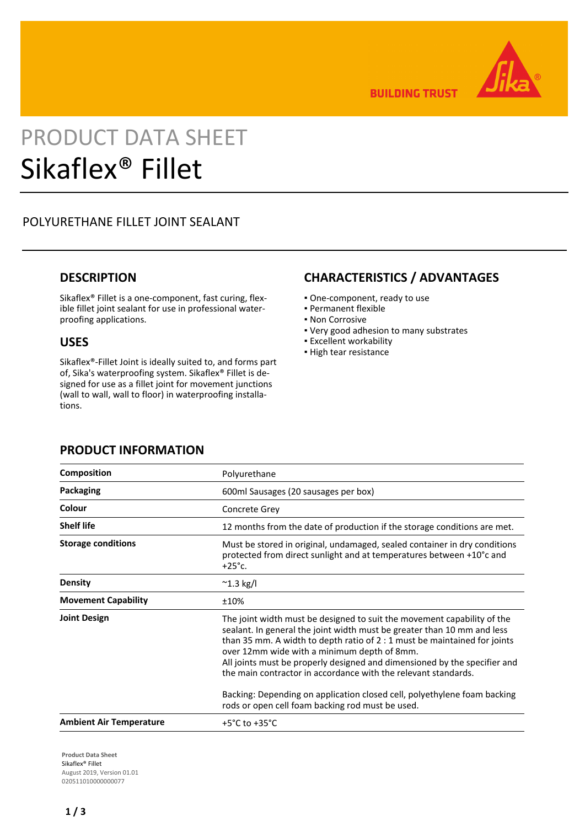

**BUILDING TRUST** 

# PRODUCT DATA SHEET Sikaflex® Fillet

# POLYURETHANE FILLET JOINT SEALANT

## **DESCRIPTION**

Sikaflex® Fillet is a one-component, fast curing, flexible fillet joint sealant for use in professional waterproofing applications.

### **USES**

Sikaflex®-Fillet Joint is ideally suited to, and forms part of, Sika's waterproofing system. Sikaflex® Fillet is designed for use as a fillet joint for movement junctions (wall to wall, wall to floor) in waterproofing installations.

## **CHARACTERISTICS / ADVANTAGES**

- One-component, ready to use
- Permanent flexible
- Non Corrosive
- Very good adhesion to many substrates
- **Excellent workability**
- High tear resistance

| <b>PRODUCT INFORMATION</b> |
|----------------------------|
|----------------------------|

| <b>Composition</b>             | Polyurethane                                                                                                                                                                                                                                                                                                                                                                                                                  |
|--------------------------------|-------------------------------------------------------------------------------------------------------------------------------------------------------------------------------------------------------------------------------------------------------------------------------------------------------------------------------------------------------------------------------------------------------------------------------|
| <b>Packaging</b>               | 600ml Sausages (20 sausages per box)                                                                                                                                                                                                                                                                                                                                                                                          |
| Colour                         | Concrete Grey                                                                                                                                                                                                                                                                                                                                                                                                                 |
| <b>Shelf life</b>              | 12 months from the date of production if the storage conditions are met.                                                                                                                                                                                                                                                                                                                                                      |
| <b>Storage conditions</b>      | Must be stored in original, undamaged, sealed container in dry conditions<br>protected from direct sunlight and at temperatures between +10°c and<br>$+25^\circ$ c.                                                                                                                                                                                                                                                           |
| <b>Density</b>                 | $^{\sim}$ 1.3 kg/l                                                                                                                                                                                                                                                                                                                                                                                                            |
| <b>Movement Capability</b>     | ±10%                                                                                                                                                                                                                                                                                                                                                                                                                          |
| <b>Joint Design</b>            | The joint width must be designed to suit the movement capability of the<br>sealant. In general the joint width must be greater than 10 mm and less<br>than 35 mm. A width to depth ratio of 2 : 1 must be maintained for joints<br>over 12mm wide with a minimum depth of 8mm.<br>All joints must be properly designed and dimensioned by the specifier and<br>the main contractor in accordance with the relevant standards. |
|                                | Backing: Depending on application closed cell, polyethylene foam backing<br>rods or open cell foam backing rod must be used.                                                                                                                                                                                                                                                                                                  |
| <b>Ambient Air Temperature</b> | +5 $^{\circ}$ C to +35 $^{\circ}$ C                                                                                                                                                                                                                                                                                                                                                                                           |
|                                |                                                                                                                                                                                                                                                                                                                                                                                                                               |

**Product Data Sheet** Sikaflex® Fillet August 2019, Version 01.01 020511010000000077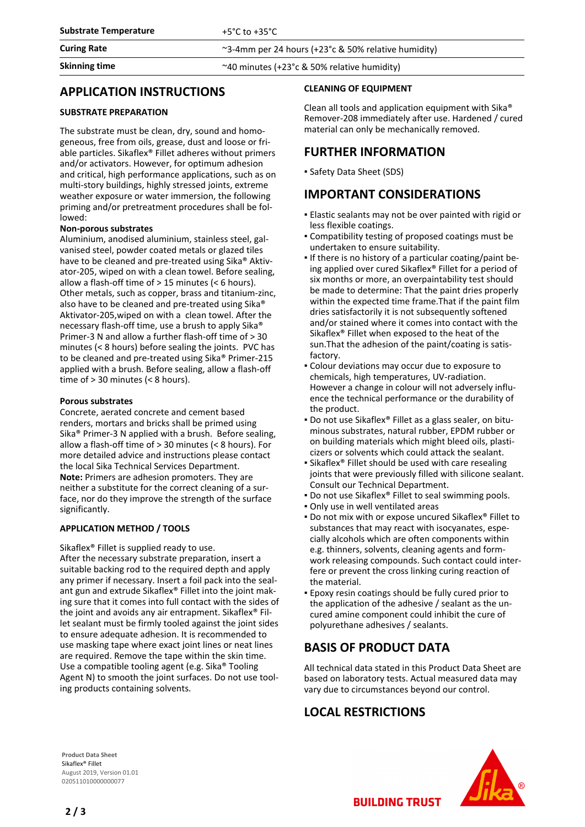**Skinning time**  $\sim$  40 minutes (+23°c & 50% relative humidity)

## **APPLICATION INSTRUCTIONS**

#### **SUBSTRATE PREPARATION**

The substrate must be clean, dry, sound and homogeneous, free from oils, grease, dust and loose or friable particles. Sikaflex® Fillet adheres without primers and/or activators. However, for optimum adhesion and critical, high performance applications, such as on multi-story buildings, highly stressed joints, extreme weather exposure or water immersion, the following priming and/or pretreatment procedures shall be followed:

#### **Non-porous substrates**

Aluminium, anodised aluminium, stainless steel, galvanised steel, powder coated metals or glazed tiles have to be cleaned and pre-treated using Sika® Aktivator-205, wiped on with a clean towel. Before sealing, allow a flash-off time of > 15 minutes (< 6 hours). Other metals, such as copper, brass and titanium-zinc, also have to be cleaned and pre-treated using Sika® Aktivator-205,wiped on with a clean towel. After the necessary flash-off time, use a brush to apply Sika® Primer-3 N and allow a further flash-off time of > 30 minutes (< 8 hours) before sealing the joints. PVC has to be cleaned and pre-treated using Sika® Primer-215 applied with a brush. Before sealing, allow a flash-off time of > 30 minutes (< 8 hours).

#### **Porous substrates**

Concrete, aerated concrete and cement based renders, mortars and bricks shall be primed using Sika® Primer-3 N applied with a brush. Before sealing, allow a flash-off time of > 30 minutes (< 8 hours). For more detailed advice and instructions please contact the local Sika Technical Services Department. **Note:** Primers are adhesion promoters. They are neither a substitute for the correct cleaning of a surface, nor do they improve the strength of the surface significantly.

#### **APPLICATION METHOD / TOOLS**

Sikaflex® Fillet is supplied ready to use. After the necessary substrate preparation, insert a suitable backing rod to the required depth and apply any primer if necessary. Insert a foil pack into the sealant gun and extrude Sikaflex® Fillet into the joint making sure that it comes into full contact with the sides of the joint and avoids any air entrapment. Sikaflex® Fillet sealant must be firmly tooled against the joint sides to ensure adequate adhesion. It is recommended to use masking tape where exact joint lines or neat lines are required. Remove the tape within the skin time. Use a compatible tooling agent (e.g. Sika® Tooling Agent N) to smooth the joint surfaces. Do not use tooling products containing solvents.

#### **CLEANING OF EQUIPMENT**

Clean all tools and application equipment with Sika® Remover-208 immediately after use. Hardened / cured material can only be mechanically removed.

## **FURTHER INFORMATION**

▪ Safety Data Sheet (SDS)

## **IMPORTANT CONSIDERATIONS**

- **Elastic sealants may not be over painted with rigid or** less flexible coatings.
- Compatibility testing of proposed coatings must be undertaken to ensure suitability.
- If there is no history of a particular coating/paint being applied over cured Sikaflex® Fillet for a period of six months or more, an overpaintability test should be made to determine: That the paint dries properly within the expected time frame.That if the paint film dries satisfactorily it is not subsequently softened and/or stained where it comes into contact with the Sikaflex® Fillet when exposed to the heat of the sun.That the adhesion of the paint/coating is satisfactory.
- **Colour deviations may occur due to exposure to** chemicals, high temperatures, UV-radiation. However a change in colour will not adversely influence the technical performance or the durability of the product.
- Do not use Sikaflex® Fillet as a glass sealer, on bituminous substrates, natural rubber, EPDM rubber or on building materials which might bleed oils, plasticizers or solvents which could attack the sealant.
- **E** Sikaflex® Fillet should be used with care resealing joints that were previously filled with silicone sealant. Consult our Technical Department.
- Do not use Sikaflex<sup>®</sup> Fillet to seal swimming pools.
- Only use in well ventilated areas
- Do not mix with or expose uncured Sikaflex® Fillet to substances that may react with isocyanates, especially alcohols which are often components within e.g. thinners, solvents, cleaning agents and formwork releasing compounds. Such contact could interfere or prevent the cross linking curing reaction of the material.
- Epoxy resin coatings should be fully cured prior to the application of the adhesive / sealant as the uncured amine component could inhibit the cure of polyurethane adhesives / sealants.

# **BASIS OF PRODUCT DATA**

All technical data stated in this Product Data Sheet are based on laboratory tests. Actual measured data may vary due to circumstances beyond our control.

**BUILDING TRUST** 

# **LOCAL RESTRICTIONS**

**Product Data Sheet** Sikaflex® Fillet August 2019, Version 01.01 020511010000000077